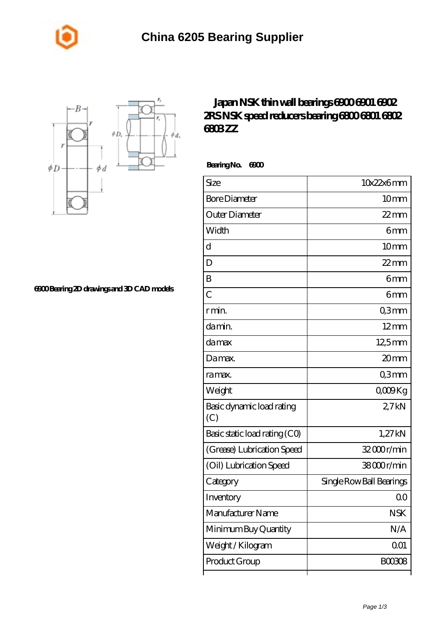



**[6900 Bearing 2D drawings and 3D CAD models](https://m.johnny-light.com/pic-624226.html)**

## **[Japan NSK thin wall bearings 6900 6901 6902](https://m.johnny-light.com/nsk-6800zz-bearing/nsk-6900/) [2RS NSK speed reducers bearing 6800 6801 6802](https://m.johnny-light.com/nsk-6800zz-bearing/nsk-6900/) [6803 ZZ](https://m.johnny-light.com/nsk-6800zz-bearing/nsk-6900/)**

 **Bearing No. 6900**

| Size                             | 10x22x6mm                |
|----------------------------------|--------------------------|
| <b>Bore Diameter</b>             | 10 <sub>mm</sub>         |
| Outer Diameter                   | $22$ mm                  |
| Width                            | 6mm                      |
| d                                | 10 <sub>mm</sub>         |
| D                                | $22$ mm                  |
| B                                | 6 <sub>mm</sub>          |
| $\overline{C}$                   | 6mm                      |
| r min.                           | Q3mm                     |
| da min.                          | $12 \text{mm}$           |
| damax                            | $12,5$ mm                |
| Damax.                           | 20mm                     |
| ra max.                          | Q3mm                     |
| Weight                           | QOORg                    |
| Basic dynamic load rating<br>(C) | 27kN                     |
| Basic static load rating (CO)    | 1,27 kN                  |
| (Grease) Lubrication Speed       | 32000r/min               |
| (Oil) Lubrication Speed          | 38000r/min               |
| Category                         | Single Row Ball Bearings |
| Inventory                        | Q0                       |
| Manufacturer Name                | <b>NSK</b>               |
| Minimum Buy Quantity             | N/A                      |
| Weight/Kilogram                  | 001                      |
| Product Group                    | BOO3O8                   |
|                                  |                          |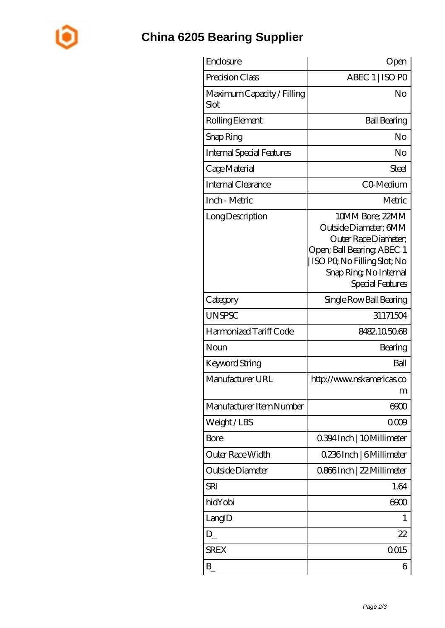

## **[China 6205 Bearing Supplier](https://m.johnny-light.com)**

| Enclosure                                 | Open                                                                                                                                                                        |
|-------------------------------------------|-----------------------------------------------------------------------------------------------------------------------------------------------------------------------------|
| Precision Class                           | ABEC 1   ISO PO                                                                                                                                                             |
| Maximum Capacity / Filling<br><b>Slot</b> | No                                                                                                                                                                          |
| Rolling Element                           | <b>Ball Bearing</b>                                                                                                                                                         |
| Snap Ring                                 | No                                                                                                                                                                          |
| <b>Internal Special Features</b>          | No                                                                                                                                                                          |
| Cage Material                             | Steel                                                                                                                                                                       |
| Internal Clearance                        | CO-Medium                                                                                                                                                                   |
| Inch - Metric                             | Metric                                                                                                                                                                      |
| Long Description                          | 10MM Bore; 22MM<br>Outside Diameter; 6MM<br>Outer Race Diameter;<br>Open; Ball Bearing; ABEC 1<br>ISO PO, No Filling Slot; No<br>Snap Ring, No Internal<br>Special Features |
| Category                                  | Single Row Ball Bearing                                                                                                                                                     |
| <b>UNSPSC</b>                             | 31171504                                                                                                                                                                    |
| Harmonized Tariff Code                    | 8482105068                                                                                                                                                                  |
| Noun                                      | Bearing                                                                                                                                                                     |
| Keyword String                            | Ball                                                                                                                                                                        |
| Manufacturer URL                          | http://www.nskamericas.co<br>m                                                                                                                                              |
| Manufacturer Item Number                  | 6900                                                                                                                                                                        |
| Weight/LBS                                | 000                                                                                                                                                                         |
| Bore                                      | 0.394 Inch   10 Millimeter                                                                                                                                                  |
| Outer Race Width                          | 0.236Inch   6Millimeter                                                                                                                                                     |
| Outside Diameter                          | 0.866Inch   22 Millimeter                                                                                                                                                   |
| SRI                                       | 1.64                                                                                                                                                                        |
| hidYobi                                   | 6900                                                                                                                                                                        |
| LangID                                    | 1                                                                                                                                                                           |
| D                                         | 22                                                                                                                                                                          |
| <b>SREX</b>                               | Q015                                                                                                                                                                        |
| $B_{-}$                                   | 6                                                                                                                                                                           |